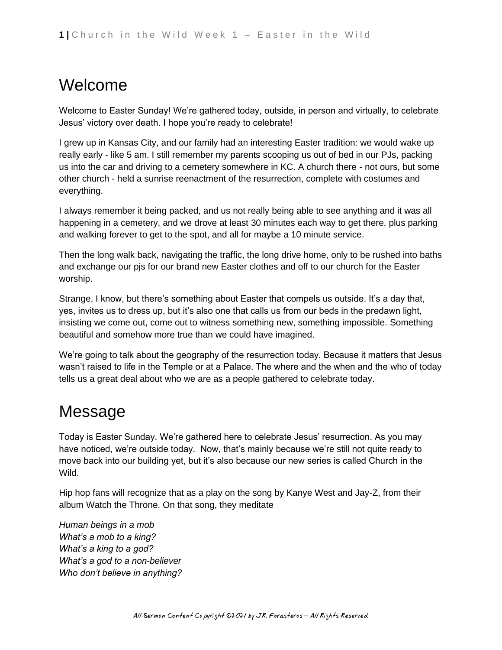## Welcome

Welcome to Easter Sunday! We're gathered today, outside, in person and virtually, to celebrate Jesus' victory over death. I hope you're ready to celebrate!

I grew up in Kansas City, and our family had an interesting Easter tradition: we would wake up really early - like 5 am. I still remember my parents scooping us out of bed in our PJs, packing us into the car and driving to a cemetery somewhere in KC. A church there - not ours, but some other church - held a sunrise reenactment of the resurrection, complete with costumes and everything.

I always remember it being packed, and us not really being able to see anything and it was all happening in a cemetery, and we drove at least 30 minutes each way to get there, plus parking and walking forever to get to the spot, and all for maybe a 10 minute service.

Then the long walk back, navigating the traffic, the long drive home, only to be rushed into baths and exchange our pjs for our brand new Easter clothes and off to our church for the Easter worship.

Strange, I know, but there's something about Easter that compels us outside. It's a day that, yes, invites us to dress up, but it's also one that calls us from our beds in the predawn light, insisting we come out, come out to witness something new, something impossible. Something beautiful and somehow more true than we could have imagined.

We're going to talk about the geography of the resurrection today. Because it matters that Jesus wasn't raised to life in the Temple or at a Palace. The where and the when and the who of today tells us a great deal about who we are as a people gathered to celebrate today.

## Message

Today is Easter Sunday. We're gathered here to celebrate Jesus' resurrection. As you may have noticed, we're outside today. Now, that's mainly because we're still not quite ready to move back into our building yet, but it's also because our new series is called Church in the Wild.

Hip hop fans will recognize that as a play on the song by Kanye West and Jay-Z, from their album Watch the Throne. On that song, they meditate

*Human beings in a mob What's a mob to a king? What's a king to a god? What's a god to a non-believer Who don't believe in anything?*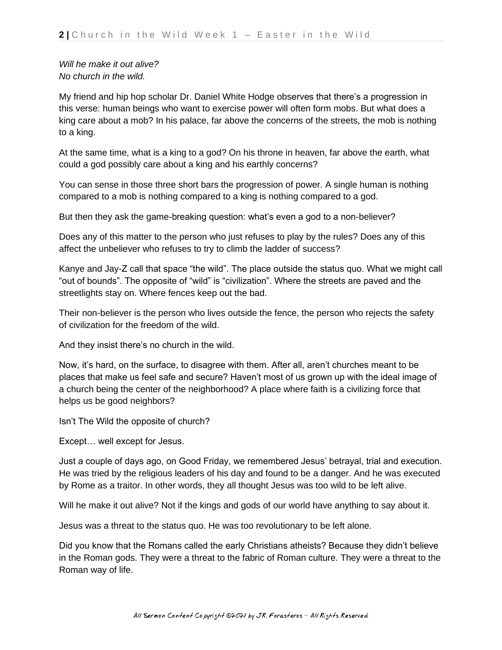*Will he make it out alive? No church in the wild.*

My friend and hip hop scholar Dr. Daniel White Hodge observes that there's a progression in this verse: human beings who want to exercise power will often form mobs. But what does a king care about a mob? In his palace, far above the concerns of the streets, the mob is nothing to a king.

At the same time, what is a king to a god? On his throne in heaven, far above the earth, what could a god possibly care about a king and his earthly concerns?

You can sense in those three short bars the progression of power. A single human is nothing compared to a mob is nothing compared to a king is nothing compared to a god.

But then they ask the game-breaking question: what's even a god to a non-believer?

Does any of this matter to the person who just refuses to play by the rules? Does any of this affect the unbeliever who refuses to try to climb the ladder of success?

Kanye and Jay-Z call that space "the wild". The place outside the status quo. What we might call "out of bounds". The opposite of "wild" is "civilization". Where the streets are paved and the streetlights stay on. Where fences keep out the bad.

Their non-believer is the person who lives outside the fence, the person who rejects the safety of civilization for the freedom of the wild.

And they insist there's no church in the wild.

Now, it's hard, on the surface, to disagree with them. After all, aren't churches meant to be places that make us feel safe and secure? Haven't most of us grown up with the ideal image of a church being the center of the neighborhood? A place where faith is a civilizing force that helps us be good neighbors?

Isn't The Wild the opposite of church?

Except… well except for Jesus.

Just a couple of days ago, on Good Friday, we remembered Jesus' betrayal, trial and execution. He was tried by the religious leaders of his day and found to be a danger. And he was executed by Rome as a traitor. In other words, they all thought Jesus was too wild to be left alive.

Will he make it out alive? Not if the kings and gods of our world have anything to say about it.

Jesus was a threat to the status quo. He was too revolutionary to be left alone.

Did you know that the Romans called the early Christians atheists? Because they didn't believe in the Roman gods. They were a threat to the fabric of Roman culture. They were a threat to the Roman way of life.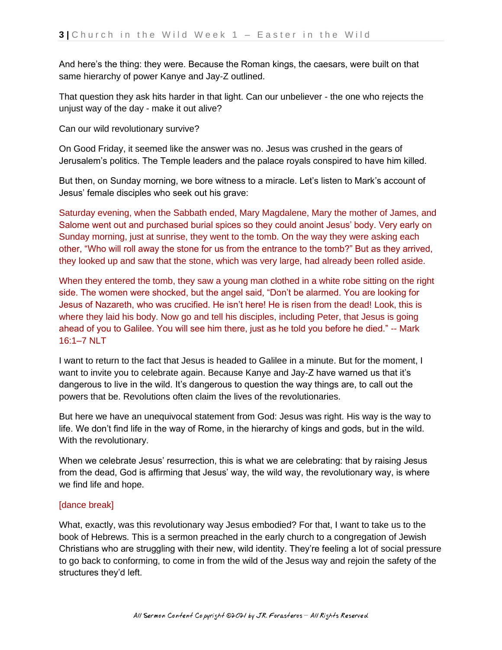And here's the thing: they were. Because the Roman kings, the caesars, were built on that same hierarchy of power Kanye and Jay-Z outlined.

That question they ask hits harder in that light. Can our unbeliever - the one who rejects the unjust way of the day - make it out alive?

Can our wild revolutionary survive?

On Good Friday, it seemed like the answer was no. Jesus was crushed in the gears of Jerusalem's politics. The Temple leaders and the palace royals conspired to have him killed.

But then, on Sunday morning, we bore witness to a miracle. Let's listen to Mark's account of Jesus' female disciples who seek out his grave:

Saturday evening, when the Sabbath ended, Mary Magdalene, Mary the mother of James, and Salome went out and purchased burial spices so they could anoint Jesus' body. Very early on Sunday morning, just at sunrise, they went to the tomb. On the way they were asking each other, "Who will roll away the stone for us from the entrance to the tomb?" But as they arrived, they looked up and saw that the stone, which was very large, had already been rolled aside.

When they entered the tomb, they saw a young man clothed in a white robe sitting on the right side. The women were shocked, but the angel said, "Don't be alarmed. You are looking for Jesus of Nazareth, who was crucified. He isn't here! He is risen from the dead! Look, this is where they laid his body. Now go and tell his disciples, including Peter, that Jesus is going ahead of you to Galilee. You will see him there, just as he told you before he died." -- Mark 16:1–7 NLT

I want to return to the fact that Jesus is headed to Galilee in a minute. But for the moment, I want to invite you to celebrate again. Because Kanye and Jay-Z have warned us that it's dangerous to live in the wild. It's dangerous to question the way things are, to call out the powers that be. Revolutions often claim the lives of the revolutionaries.

But here we have an unequivocal statement from God: Jesus was right. His way is the way to life. We don't find life in the way of Rome, in the hierarchy of kings and gods, but in the wild. With the revolutionary.

When we celebrate Jesus' resurrection, this is what we are celebrating: that by raising Jesus from the dead, God is affirming that Jesus' way, the wild way, the revolutionary way, is where we find life and hope.

## [dance break]

What, exactly, was this revolutionary way Jesus embodied? For that, I want to take us to the book of Hebrews. This is a sermon preached in the early church to a congregation of Jewish Christians who are struggling with their new, wild identity. They're feeling a lot of social pressure to go back to conforming, to come in from the wild of the Jesus way and rejoin the safety of the structures they'd left.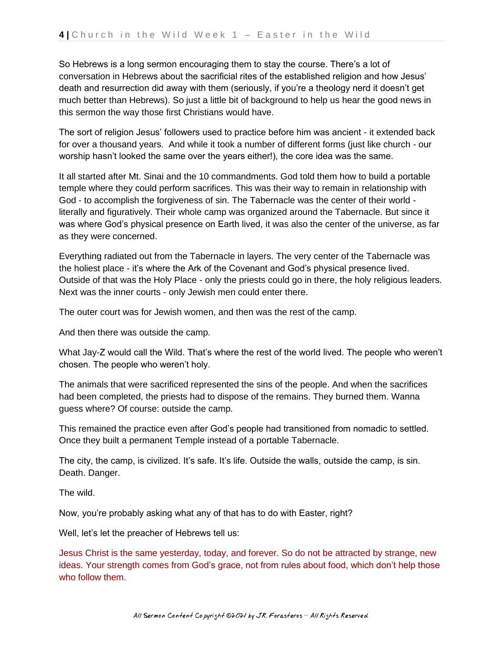So Hebrews is a long sermon encouraging them to stay the course. There's a lot of conversation in Hebrews about the sacrificial rites of the established religion and how Jesus' death and resurrection did away with them (seriously, if you're a theology nerd it doesn't get much better than Hebrews). So just a little bit of background to help us hear the good news in this sermon the way those first Christians would have.

The sort of religion Jesus' followers used to practice before him was ancient - it extended back for over a thousand years. And while it took a number of different forms (just like church - our worship hasn't looked the same over the years either!), the core idea was the same.

It all started after Mt. Sinai and the 10 commandments. God told them how to build a portable temple where they could perform sacrifices. This was their way to remain in relationship with God - to accomplish the forgiveness of sin. The Tabernacle was the center of their world literally and figuratively. Their whole camp was organized around the Tabernacle. But since it was where God's physical presence on Earth lived, it was also the center of the universe, as far as they were concerned.

Everything radiated out from the Tabernacle in layers. The very center of the Tabernacle was the holiest place - it's where the Ark of the Covenant and God's physical presence lived. Outside of that was the Holy Place - only the priests could go in there, the holy religious leaders. Next was the inner courts - only Jewish men could enter there.

The outer court was for Jewish women, and then was the rest of the camp.

And then there was outside the camp.

What Jay-Z would call the Wild. That's where the rest of the world lived. The people who weren't chosen. The people who weren't holy.

The animals that were sacrificed represented the sins of the people. And when the sacrifices had been completed, the priests had to dispose of the remains. They burned them. Wanna guess where? Of course: outside the camp.

This remained the practice even after God's people had transitioned from nomadic to settled. Once they built a permanent Temple instead of a portable Tabernacle.

The city, the camp, is civilized. It's safe. It's life. Outside the walls, outside the camp, is sin. Death. Danger.

The wild.

Now, you're probably asking what any of that has to do with Easter, right?

Well, let's let the preacher of Hebrews tell us:

Jesus Christ is the same yesterday, today, and forever. So do not be attracted by strange, new ideas. Your strength comes from God's grace, not from rules about food, which don't help those who follow them.